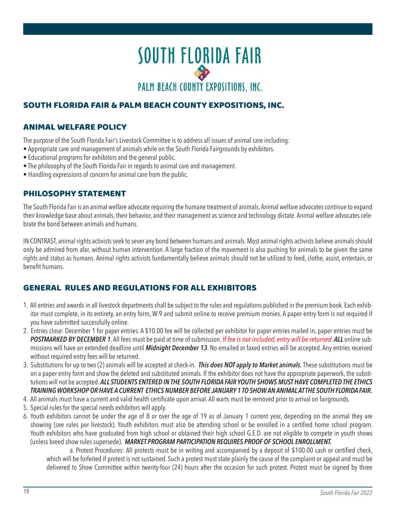

## SOUTH FLORIDA FAIR & PALM BEACH COUNTY EXPOSITIONS, INC.

## ANIMAL WELFARE POLICY

The purpose of the South Florida Fair's Livestock Committee is to address all issues of animal care including:<br>The 2020 South Florida Fair's Livestock Committee is to address all issues of animal care including:

- Appropriate care and management of animals while on the South Florida Fairgrounds by exhibitors.
- repropriate tare and management of animals mine on the escalification at anglocance by exhibitors.<br>• Educational programs for exhibitors and the general public.
- The philosophy of the South Florida Fair in regards to animal care and management.
- $\bullet$  Handling expressions of concern for animal care from the public.

## PHILOSOPHY STATEMENT

The South Florida Fair is an animal welfare advocate requiring the humane treatment of animals. Animal welfare advocates continue to expand their knowledge base about animals, their behavior, and their management as science and technology dictate. Animal welfare advocates celethen moments base about animals, then behavior, and then management as selence and technology dictate. Animal wehave advocated by the bond between animals and humans.

IN CONTRAST, animal rights activists seek to sever any bond between humans and animals. Most animal rights activists believe animals should only be admired from afar, without human intervention. A large fraction of the movement is also pushing for animals to be given the same rights and status as humans. Animal rights activists fundamentally believe animals should not be utilized to feed, clothe, assist, entertain, or benefit humans.  $R$  and appreciative that  $\alpha$  are considering and  $\alpha$  that  $\alpha$  into one of the many competitions of the many competitions of the many competitions of the many competitions of the many competitions of the many competiti

## GENERAL RULES AND REGULATIONS FOR ALL EXHIBITORS

- 1. All entries and awards in all livestock departments shall be subject to the rules and regulations published in the premium book. Each exhibitor must complete, in its entirety, an entry form, W-9 and submit online to receive premium monies. A paper entry form is not required if you have submitted successfully online.  $\hskip 1.6cm$
- 2. Entries close: December 1 for paper entries. A \$10.00 fee will be collected per exhibitor for paper entries mailed in, paper entries must be POSTMARKED BY DECEMBER 1. All fees must be paid at time of submission. If fee is not included, entry will be returned. ALL online submissions will have an extended deadline until **Midnight December 13**. No emailed or faxed entries will be accepted. Any entries received without required entry fees will be returned.
- 3. Substitutions for up to two (2) animals will be accepted at check-in. *This does NOT apply to Market animals.* These substitutions must be on a paper entry form and show the deleted and substituted animals. If the exhibitor does not have the appropriate paperwork, the substitutions will not be accepted. **ALL STUDENTS ENTERED IN THE SOUTH FLORIDA FAIR YOUTH SHOWS MUST HAVE COMPLETED THE ETHICS** *TRAINING WORKSHOP OR HAVE A CURRENT ETHICS NUMBER BEFORE JANUARY 1 TO SHOW AN ANIMAL AT THE SOUTH FLORIDA FAIR.*
- 4. All animals must have a current and valid health certificate upon arrival. All warts must be removed prior to arrival on fairgrounds.
- 5. Special rules for the special needs exhibitors will apply.
- 6. Youth exhibitors cannot be under the age of 8 or over the age of 19 as of January 1 current year, depending on the animal they are showing (see rules per livestock). Youth exhibitors must also be attending school or be enrolled in a certified home school program. Youth exhibitors who have graduated from high school or obtained their high school G.E.D. are not eligible to compete in youth shows (unless breed show rules supersede). *MARKET PROGRAM PARTICIPATION REQUIRES PROOF OF SCHOOL ENROLLMENT.*

a. Protest Procedures: All protests must be in writing and accompanied by a deposit of \$100.00 cash or certified check, as indeed if protests in protests must be in whilling and accompained by a deposit of \$100.00 cash of centrica crick,<br>which will be forfeited if protest is not sustained. Such a protest must state plainly the cause of the delivered to Show Committee within twenty-four (24) hours after the occasion for such protest. Protest must be signed by three